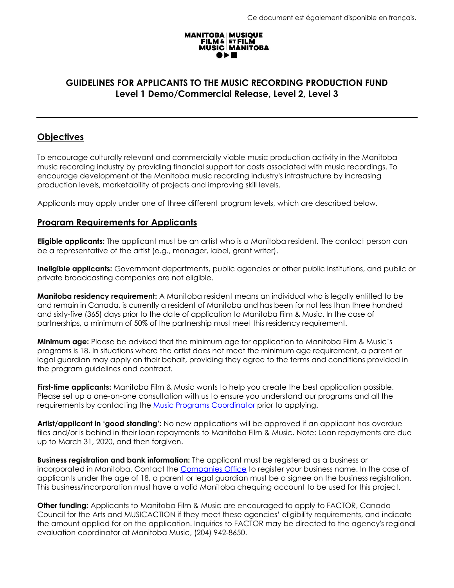# **MANITOBA | MUSIQUE<br>FILM & ET FILM<br>MUSIC | MANITOBA**

# **GUIDELINES FOR APPLICANTS TO THE MUSIC RECORDING PRODUCTION FUND Level 1 Demo/Commercial Release, Level 2, Level 3**

# **Objectives**

To encourage culturally relevant and commercially viable music production activity in the Manitoba music recording industry by providing financial support for costs associated with music recordings. To encourage development of the Manitoba music recording industry's infrastructure by increasing production levels, marketability of projects and improving skill levels.

Applicants may apply under one of three different program levels, which are described below.

#### **Program Requirements for Applicants**

**Eligible applicants:** The applicant must be an artist who is a Manitoba resident. The contact person can be a representative of the artist (e.g., manager, label, grant writer).

**Ineligible applicants:** Government departments, public agencies or other public institutions, and public or private broadcasting companies are not eligible.

**Manitoba residency requirement:** A Manitoba resident means an individual who is legally entitled to be and remain in Canada, is currently a resident of Manitoba and has been for not less than three hundred and sixty-five (365) days prior to the date of application to Manitoba Film & Music. In the case of partnerships, a minimum of 50% of the partnership must meet this residency requirement.

**Minimum age:** Please be advised that the minimum age for application to Manitoba Film & Music's programs is 18. In situations where the artist does not meet the minimum age requirement, a parent or legal guardian may apply on their behalf, providing they agree to the terms and conditions provided in the program guidelines and contract.

**First-time applicants:** Manitoba Film & Music wants to help you create the best application possible. Please set up a one-on-one consultation with us to ensure you understand our programs and all the requirements by contacting the Music [Programs Coordinator](mailto:bonnie@mbfilmmusic.ca) prior to applying.

**Artist/applicant in 'good standing':** No new applications will be approved if an applicant has overdue files and/or is behind in their loan repayments to Manitoba Film & Music. Note: Loan repayments are due up to March 31, 2020, and then forgiven.

**Business registration and bank information:** The applicant must be registered as a business or incorporated in Manitoba. Contact the [Companies Office](https://companiesoffice.gov.mb.ca/) to register your business name. In the case of applicants under the age of 18, a parent or legal guardian must be a signee on the business registration. This business/incorporation must have a valid Manitoba chequing account to be used for this project.

**Other funding:** Applicants to Manitoba Film & Music are encouraged to apply to FACTOR, Canada Council for the Arts and MUSICACTION if they meet these agencies' eligibility requirements, and indicate the amount applied for on the application. Inquiries to FACTOR may be directed to the agency's regional evaluation coordinator at Manitoba Music, (204) 942-8650.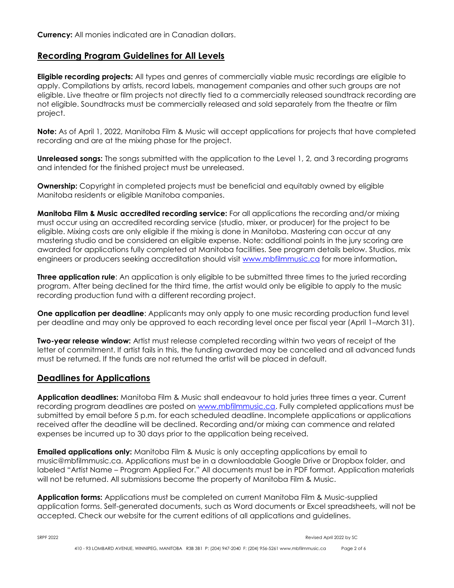#### **Recording Program Guidelines for All Levels**

**Eligible recording projects:** All types and genres of commercially viable music recordings are eligible to apply. Compilations by artists, record labels, management companies and other such groups are not eligible. Live theatre or film projects not directly tied to a commercially released soundtrack recording are not eligible. Soundtracks must be commercially released and sold separately from the theatre or film project.

**Note:** As of April 1, 2022, Manitoba Film & Music will accept applications for projects that have completed recording and are at the mixing phase for the project.

**Unreleased songs:** The songs submitted with the application to the Level 1, 2, and 3 recording programs and intended for the finished project must be unreleased.

**Ownership:** Copyright in completed projects must be beneficial and equitably owned by eligible Manitoba residents or eligible Manitoba companies.

**Manitoba Film & Music accredited recording service:** For all applications the recording and/or mixing must occur using an accredited recording service (studio, mixer, or producer) for the project to be eligible. Mixing costs are only eligible if the mixing is done in Manitoba. Mastering can occur at any mastering studio and be considered an eligible expense. Note: additional points in the jury scoring are awarded for applications fully completed at Manitoba facilities. See program details below. Studios, mix engineers or producers seeking accreditation should visit [www.mbfilmmusic.ca](http://www.mbfilmmusic.ca/) for more information**.**

**Three application rule**: An application is only eligible to be submitted three times to the juried recording program. After being declined for the third time, the artist would only be eligible to apply to the music recording production fund with a different recording project.

**One application per deadline:** Applicants may only apply to one music recording production fund level per deadline and may only be approved to each recording level once per fiscal year (April 1–March 31).

**Two-year release window:** Artist must release completed recording within two years of receipt of the letter of commitment. If artist fails in this, the funding awarded may be cancelled and all advanced funds must be returned. If the funds are not returned the artist will be placed in default.

#### **Deadlines for Applications**

**Application deadlines:** Manitoba Film & Music shall endeavour to hold juries three times a year. Current recording program deadlines are posted on [www.mbfilmmusic.ca.](http://www.mbfilmmusic.ca/) Fully completed applications must be submitted by email before 5 p.m. for each scheduled deadline. Incomplete applications or applications received after the deadline will be declined. Recording and/or mixing can commence and related expenses be incurred up to 30 days prior to the application being received.

**Emailed applications only:** Manitoba Film & Music is only accepting applications by email to music@mbfilmmusic.ca. Applications must be in a downloadable Google Drive or Dropbox folder, and labeled "Artist Name – Program Applied For." All documents must be in PDF format. Application materials will not be returned. All submissions become the property of Manitoba Film & Music.

**Application forms:** Applications must be completed on current Manitoba Film & Music-supplied application forms. Self-generated documents, such as Word documents or Excel spreadsheets, will not be accepted. Check our website for the current editions of all applications and guidelines.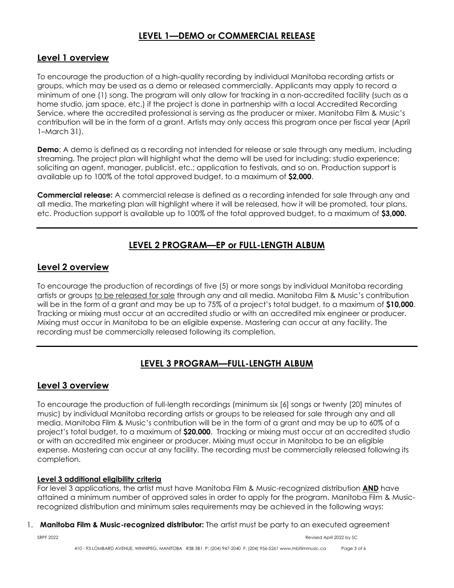# **LEVEL 1—DEMO or COMMERCIAL RELEASE**

## **Level 1 overview**

To encourage the production of a high-quality recording by individual Manitoba recording artists or groups, which may be used as a demo or released commercially. Applicants may apply to record a minimum of one (1) song. The program will only allow for tracking in a non-accredited facility (such as a home studio, jam space, etc.) if the project is done in partnership with a local Accredited Recording Service, where the accredited professional is serving as the producer or mixer. Manitoba Film & Music's contribution will be in the form of a grant. Artists may only access this program once per fiscal year (April 1–March 31).

**Demo**: A demo is defined as a recording not intended for release or sale through any medium, including streaming. The project plan will highlight what the demo will be used for including: studio experience; soliciting an agent, manager, publicist, etc.; application to festivals, and so on. Production support is available up to 100% of the total approved budget, to a maximum of **\$2,000**.

**Commercial release:** A commercial release is defined as a recording intended for sale through any and all media. The marketing plan will highlight where it will be released, how it will be promoted, tour plans, etc. Production support is available up to 100% of the total approved budget, to a maximum of **\$3,000.**

# **LEVEL 2 PROGRAM—EP or FULL-LENGTH ALBUM**

#### **Level 2 overview**

To encourage the production of recordings of five (5) or more songs by individual Manitoba recording artists or groups to be released for sale through any and all media. Manitoba Film & Music's contribution will be in the form of a grant and may be up to 75% of a project's total budget, to a maximum of **\$10,000**. Tracking or mixing must occur at an accredited studio or with an accredited mix engineer or producer. Mixing must occur in Manitoba to be an eligible expense. Mastering can occur at any facility. The recording must be commercially released following its completion.

# **LEVEL 3 PROGRAM—FULL-LENGTH ALBUM**

# **Level 3 overview**

To encourage the production of full-length recordings (minimum six [6] songs or twenty [20] minutes of music) by individual Manitoba recording artists or groups to be released for sale through any and all media. Manitoba Film & Music's contribution will be in the form of a grant and may be up to 60% of a project's total budget, to a maximum of **\$20,000**. Tracking or mixing must occur at an accredited studio or with an accredited mix engineer or producer. Mixing must occur in Manitoba to be an eligible expense. Mastering can occur at any facility. The recording must be commercially released following its completion.

#### **Level 3 additional eligibility criteria**

For level 3 applications, the artist must have Manitoba Film & Music-recognized distribution **AND** have attained a minimum number of approved sales in order to apply for the program. Manitoba Film & Musicrecognized distribution and minimum sales requirements may be achieved in the following ways:

#### 1. **Manitoba Film & Music-recognized distributor:** The artist must be party to an executed agreement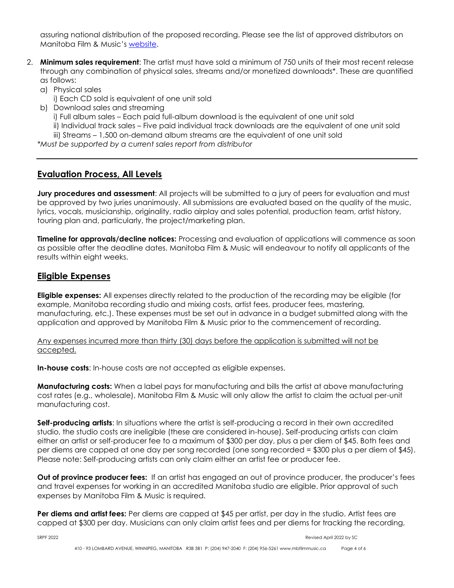assuring national distribution of the proposed recording. Please see the list of approved distributors on Manitoba Film & Music's [website.](https://mbfilmmusic.ca/en/music/accredited-studios)

- 2. **Minimum sales requirement**: The artist must have sold a minimum of 750 units of their most recent release through any combination of physical sales, streams and/or monetized downloads\*. These are quantified as follows:
	- a) Physical sales
		- i) Each CD sold is equivalent of one unit sold
	- b) Download sales and streaming
		- i) Full album sales Each paid full-album download is the equivalent of one unit sold
		- ii) Individual track sales Five paid individual track downloads are the equivalent of one unit sold

iii) Streams – 1,500 on-demand album streams are the equivalent of one unit sold

*\*Must be supported by a current sales report from distributor*

## **Evaluation Process, All Levels**

**Jury procedures and assessment**: All projects will be submitted to a jury of peers for evaluation and must be approved by two juries unanimously. All submissions are evaluated based on the quality of the music, lyrics, vocals, musicianship, originality, radio airplay and sales potential, production team, artist history, touring plan and, particularly, the project/marketing plan.

**Timeline for approvals/decline notices:** Processing and evaluation of applications will commence as soon as possible after the deadline dates. Manitoba Film & Music will endeavour to notify all applicants of the results within eight weeks.

#### **Eligible Expenses**

**Eligible expenses:** All expenses directly related to the production of the recording may be eligible (for example, Manitoba recording studio and mixing costs, artist fees, producer fees, mastering, manufacturing, etc.). These expenses must be set out in advance in a budget submitted along with the application and approved by Manitoba Film & Music prior to the commencement of recording.

Any expenses incurred more than thirty (30) days before the application is submitted will not be accepted.

**In-house costs**: In-house costs are not accepted as eligible expenses.

**Manufacturing costs:** When a label pays for manufacturing and bills the artist at above manufacturing cost rates (e.g., wholesale), Manitoba Film & Music will only allow the artist to claim the actual per-unit manufacturing cost.

**Self-producing artists**: In situations where the artist is self-producing a record in their own accredited studio, the studio costs are ineligible (these are considered in-house). Self-producing artists can claim either an artist or self-producer fee to a maximum of \$300 per day, plus a per diem of \$45. Both fees and per diems are capped at one day per song recorded (one song recorded = \$300 plus a per diem of \$45). Please note: Self-producing artists can only claim either an artist fee or producer fee.

**Out of province producer fees:** If an artist has engaged an out of province producer, the producer's fees and travel expenses for working in an accredited Manitoba studio are eligible. Prior approval of such expenses by Manitoba Film & Music is required.

**Per diems and artist fees:** Per diems are capped at \$45 per artist, per day in the studio. Artist fees are capped at \$300 per day. Musicians can only claim artist fees and per diems for tracking the recording,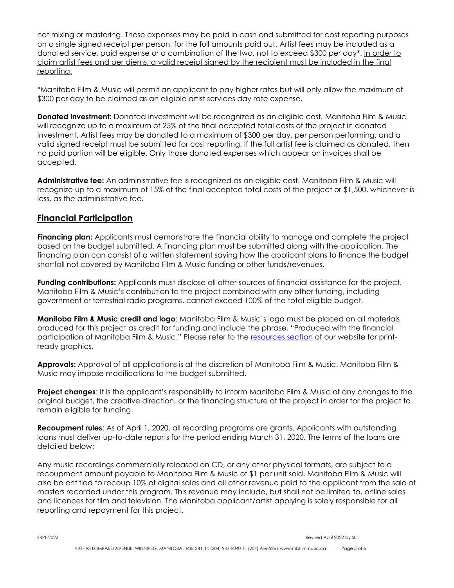not mixing or mastering. These expenses may be paid in cash and submitted for cost reporting purposes on a single signed receipt per person, for the full amounts paid out. Artist fees may be included as a donated service, paid expense or a combination of the two, not to exceed \$300 per day\*. In order to claim artist fees and per diems, a valid receipt signed by the recipient must be included in the final reporting.

\*Manitoba Film & Music will permit an applicant to pay higher rates but will only allow the maximum of \$300 per day to be claimed as an eligible artist services day rate expense.

**Donated investment:** Donated investment will be recognized as an eligible cost. Manitoba Film & Music will recognize up to a maximum of 25% of the final accepted total costs of the project in donated investment. Artist fees may be donated to a maximum of \$300 per day, per person performing, and a valid signed receipt must be submitted for cost reporting. If the full artist fee is claimed as donated, then no paid portion will be eligible. Only those donated expenses which appear on invoices shall be accepted.

**Administrative fee:** An administrative fee is recognized as an eligible cost. Manitoba Film & Music will recognize up to a maximum of 15% of the final accepted total costs of the project or \$1,500, whichever is less, as the administrative fee.

#### **Financial Participation**

**Financing plan:** Applicants must demonstrate the financial ability to manage and complete the project based on the budget submitted. A financing plan must be submitted along with the application. The financing plan can consist of a written statement saying how the applicant plans to finance the budget shortfall not covered by Manitoba Film & Music funding or other funds/revenues.

**Funding contributions:** Applicants must disclose all other sources of financial assistance for the project. Manitoba Film & Music's contribution to the project combined with any other funding, including government or terrestrial radio programs, cannot exceed 100% of the total eligible budget.

**Manitoba Film & Music credit and logo**: Manitoba Film & Music's logo must be placed on all materials produced for this project as credit for funding and include the phrase, "Produced with the financial participation of Manitoba Film & Music." Please refer to the [resources section](https://mbfilmmusic.ca/en/film/resources) of our website for printready graphics.

**Approvals:** Approval of all applications is at the discretion of Manitoba Film & Music. Manitoba Film & Music may impose modifications to the budget submitted.

**Project changes**: It is the applicant's responsibility to inform Manitoba Film & Music of any changes to the original budget, the creative direction, or the financing structure of the project in order for the project to remain eligible for funding.

**Recoupment rules**: As of April 1, 2020, all recording programs are grants. Applicants with outstanding loans must deliver up-to-date reports for the period ending March 31, 2020. The terms of the loans are detailed below:

Any music recordings commercially released on CD, or any other physical formats, are subject to a recoupment amount payable to Manitoba Film & Music of \$1 per unit sold. Manitoba Film & Music will also be entitled to recoup 10% of digital sales and all other revenue paid to the applicant from the sale of masters recorded under this program. This revenue may include, but shall not be limited to, online sales and licences for film and television. The Manitoba applicant/artist applying is solely responsible for all reporting and repayment for this project.